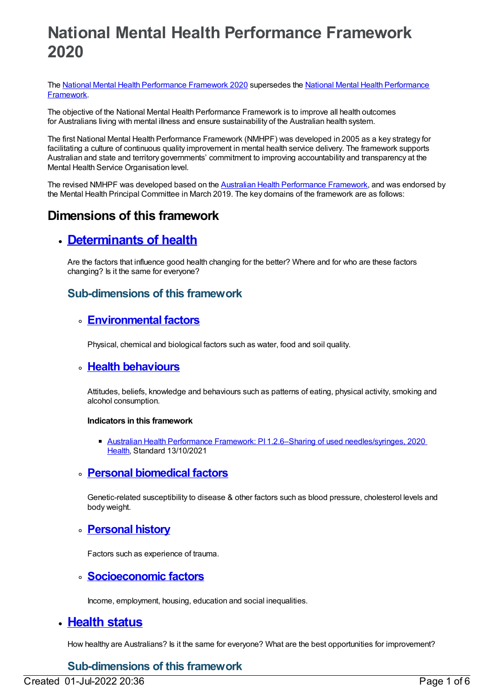# **National Mental Health Performance Framework 2020**

The National Mental Health [Performance](file:///content/584825) Framework 2020 supersedes the National Mental Health Performance Framework.

The objective of the National Mental Health Performance Framework is to improve all health outcomes for Australians living with mental illness and ensure sustainability of the Australian health system.

The first National Mental Health Performance Framework (NMHPF) was developed in 2005 as a key strategy for facilitating a culture of continuous quality improvement in mental health service delivery. The framework supports Australian and state and territory governments' commitment to improving accountability and transparency at the Mental Health Service Organisation level.

The revised NMHPF was developed based on the Australian Health [Performance](https://www.coaghealthcouncil.gov.au/Portals/0/OOS318_Attachment%201.pdf) Framework, and was endorsed by the Mental Health Principal Committee in March 2019. The key domains of the framework are as follows:

## **Dimensions of this framework**

## **[Determinants](https://meteor.aihw.gov.au/content/721209) of health**

Are the factors that influence good health changing for the better? Where and for who are these factors changing? Is it the same for everyone?

## **Sub-dimensions of this framework**

## **[Environmental](https://meteor.aihw.gov.au/content/721219) factors**

Physical, chemical and biological factors such as water, food and soil quality.

### **Health [behaviours](https://meteor.aihw.gov.au/content/721210)**

Attitudes, beliefs, knowledge and behaviours such as patterns of eating, physical activity, smoking and alcohol consumption.

#### **Indicators in this framework**

Australian Health Performance Framework: PI 1.2.6–Sharing of used [needles/syringes,](https://meteor.aihw.gov.au/content/728302) 2020 [Health](https://meteor.aihw.gov.au/RegistrationAuthority/12), Standard 13/10/2021

### **Personal [biomedical](https://meteor.aihw.gov.au/content/721211) factors**

Genetic-related susceptibility to disease & other factors such as blood pressure, cholesterol levels and body weight.

### **[Personal](https://meteor.aihw.gov.au/content/721218) history**

Factors such as experience of trauma.

### **[Socioeconomic](https://meteor.aihw.gov.au/content/721220) factors**

Income, employment, housing, education and social inequalities.

## **[Health](https://meteor.aihw.gov.au/content/721227) status**

How healthy are Australians? Is it the same for everyone? What are the best opportunities for improvement?

## **Sub-dimensions of this framework**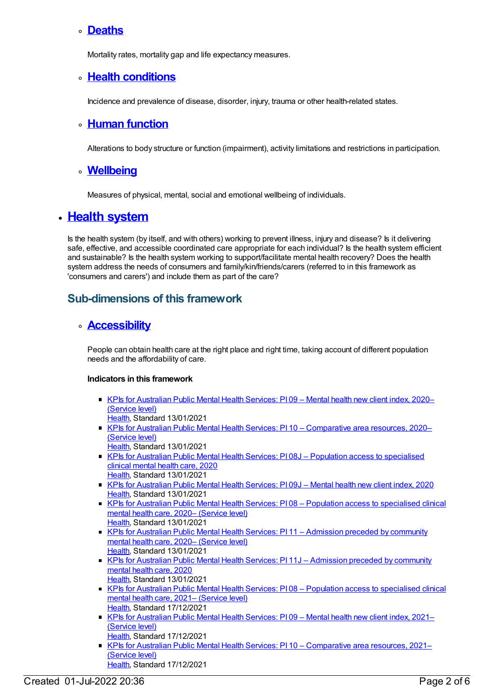### **[Deaths](https://meteor.aihw.gov.au/content/721239)**

Mortality rates, mortality gap and life expectancy measures.

## **Health [conditions](https://meteor.aihw.gov.au/content/721228)**

Incidence and prevalence of disease, disorder, injury, trauma or other health-related states.

## **Human [function](https://meteor.aihw.gov.au/content/721233)**

Alterations to body structure or function (impairment), activity limitations and restrictions in participation.

### **[Wellbeing](https://meteor.aihw.gov.au/content/721238)**

Measures of physical, mental, social and emotional wellbeing of individuals.

## **Health [system](https://meteor.aihw.gov.au/content/721195)**

Is the health system (by itself, and with others) working to prevent illness, injury and disease? Is it delivering safe, effective, and accessible coordinated care appropriate for each individual? Is the health system efficient and sustainable? Is the health system working to support/facilitate mental health recovery? Does the health system address the needs of consumers and family/kin/friends/carers (referred to in this framework as 'consumers and carers') and include them as part of the care?

## **Sub-dimensions of this framework**

## **[Accessibility](https://meteor.aihw.gov.au/content/721203)**

People can obtain health care at the right place and right time, taking account of different population needs and the affordability of care.

#### **Indicators in this framework**

- KPIs for [Australian](https://meteor.aihw.gov.au/content/725519) Public Mental Health Services: PI 09 Mental health new client index, 2020– (Service level)
- [Health](https://meteor.aihw.gov.au/RegistrationAuthority/12), Standard 13/01/2021
- KPIs for Australian Public Mental Health Services: PI 10 [Comparative](https://meteor.aihw.gov.au/content/725515) area resources, 2020– (Service level)
	- [Health](https://meteor.aihw.gov.au/RegistrationAuthority/12), Standard 13/01/2021
- KPIs for Australian Public Mental Health Services: PI 08J Population access to [specialised](https://meteor.aihw.gov.au/content/723386) clinical mental health care, 2020 [Health](https://meteor.aihw.gov.au/RegistrationAuthority/12), Standard 13/01/2021
- KPIs for [Australian](https://meteor.aihw.gov.au/content/723379) Public Mental Health Services: PI 09J Mental health new client index, 2020 [Health](https://meteor.aihw.gov.au/RegistrationAuthority/12), Standard 13/01/2021
- KPIs for Australian Public Mental Health Services: PI 08 Population access to [specialised](https://meteor.aihw.gov.au/content/727379) clinical mental health care, 2020– (Service level) [Health](https://meteor.aihw.gov.au/RegistrationAuthority/12), Standard 13/01/2021
- KPIs for Australian Public Mental Health Services: PI 11 [Admission](https://meteor.aihw.gov.au/content/725532) preceded by community mental health care, 2020– (Service level) [Health](https://meteor.aihw.gov.au/RegistrationAuthority/12), Standard 13/01/2021
- KPIs for Australian Public Mental Health Services: PI 11J [Admission](https://meteor.aihw.gov.au/content/723365) preceded by community mental health care, 2020 [Health](https://meteor.aihw.gov.au/RegistrationAuthority/12), Standard 13/01/2021
- KPIs for Australian Public Mental Health Services: PI08 Population access to [specialised](https://meteor.aihw.gov.au/content/742478) clinical mental health care, 2021– (Service level) [Health](https://meteor.aihw.gov.au/RegistrationAuthority/12), Standard 17/12/2021
- KPIs for [Australian](https://meteor.aihw.gov.au/content/742481) Public Mental Health Services: PI 09 Mental health new client index, 2021– (Service level)
- [Health](https://meteor.aihw.gov.au/RegistrationAuthority/12), Standard 17/12/2021
- **KPIs for Australian Public Mental Health Services: PI 10 [Comparative](https://meteor.aihw.gov.au/content/742484) area resources, 2021–** (Service level) [Health](https://meteor.aihw.gov.au/RegistrationAuthority/12), Standard 17/12/2021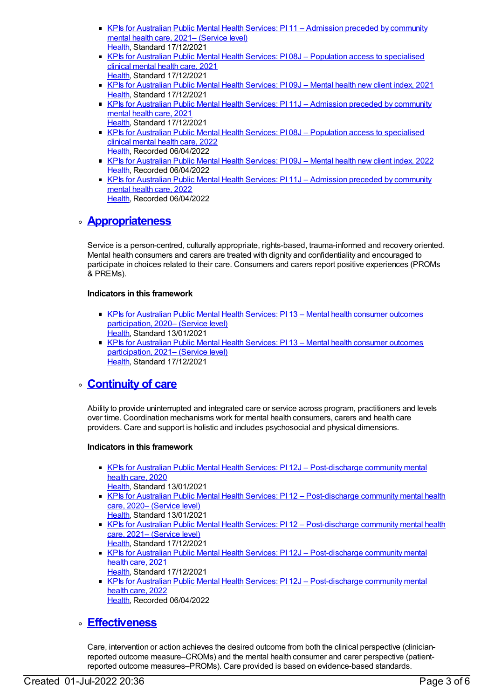- KPIs for Australian Public Mental Health Services: PI 11 [Admission](https://meteor.aihw.gov.au/content/742487) preceded by community mental health care, 2021– (Service level) [Health](https://meteor.aihw.gov.au/RegistrationAuthority/12), Standard 17/12/2021
- KPIs for Australian Public Mental Health Services: PI 08J Population access to [specialised](https://meteor.aihw.gov.au/content/739887) clinical mental health care, 2021 [Health](https://meteor.aihw.gov.au/RegistrationAuthority/12), Standard 17/12/2021
- KPIs for [Australian](https://meteor.aihw.gov.au/content/739889) Public Mental Health Services: PI 09J Mental health new client index, 2021 [Health](https://meteor.aihw.gov.au/RegistrationAuthority/12), Standard 17/12/2021
- KPIs for Australian Public Mental Health Services: PI 11J [Admission](https://meteor.aihw.gov.au/content/739893) preceded by community mental health care, 2021 [Health](https://meteor.aihw.gov.au/RegistrationAuthority/12), Standard 17/12/2021
- KPIs for Australian Public Mental Health Services: PI 08J Population access to [specialised](https://meteor.aihw.gov.au/content/753259) clinical mental health care, 2022 [Health](https://meteor.aihw.gov.au/RegistrationAuthority/12), Recorded 06/04/2022
- KPIs for [Australian](https://meteor.aihw.gov.au/content/753261) Public Mental Health Services: PI 09J Mental health new client index, 2022 [Health](https://meteor.aihw.gov.au/RegistrationAuthority/12), Recorded 06/04/2022
- KPIs for Australian Public Mental Health Services: PI 11J [Admission](https://meteor.aihw.gov.au/content/753263) preceded by community mental health care, 2022 [Health](https://meteor.aihw.gov.au/RegistrationAuthority/12), Recorded 06/04/2022

## **[Appropriateness](https://meteor.aihw.gov.au/content/721198)**

Service is a person-centred, culturally appropriate, rights-based, trauma-informed and recovery oriented. Mental health consumers and carers are treated with dignity and confidentiality and encouraged to participate in choices related to their care. Consumers and carers report positive experiences (PROMs & PREMs).

#### **Indicators in this framework**

- KPIs for Australian Public Mental Health Services: PI 13 Mental health consumer outcomes [participation,](https://meteor.aihw.gov.au/content/725517) 2020– (Service level) [Health](https://meteor.aihw.gov.au/RegistrationAuthority/12), Standard 13/01/2021
- KPIs for Australian Public Mental Health Services: PI 13 Mental health consumer outcomes [participation,](https://meteor.aihw.gov.au/content/742495) 2021– (Service level) [Health](https://meteor.aihw.gov.au/RegistrationAuthority/12), Standard 17/12/2021

## **[Continuity](https://meteor.aihw.gov.au/content/721201) of care**

Ability to provide uninterrupted and integrated care or service across program, practitioners and levels over time. Coordination mechanisms work for mental health consumers, carers and health care providers. Care and support is holistic and includes psychosocial and physical dimensions.

#### **Indicators in this framework**

- KPIs for Australian Public Mental Health Services: PI 12J [Post-discharge](https://meteor.aihw.gov.au/content/723388) community mental health care, 2020 [Health](https://meteor.aihw.gov.au/RegistrationAuthority/12), Standard 13/01/2021
- KPIs for Australian Public Mental Health Services: PI 12 [Post-discharge](https://meteor.aihw.gov.au/content/725530) community mental health care, 2020– (Service level) [Health](https://meteor.aihw.gov.au/RegistrationAuthority/12), Standard 13/01/2021
- KPIs for Australian Public Mental Health Services: PI 12 [Post-discharge](https://meteor.aihw.gov.au/content/742489) community mental health care, 2021– (Service level) [Health](https://meteor.aihw.gov.au/RegistrationAuthority/12), Standard 17/12/2021
- KPIs for Australian Public Mental Health Services: PI 12J [Post-discharge](https://meteor.aihw.gov.au/content/739895) community mental health care, 2021 [Health](https://meteor.aihw.gov.au/RegistrationAuthority/12), Standard 17/12/2021
- KPIs for Australian Public Mental Health Services: PI 12J [Post-discharge](https://meteor.aihw.gov.au/content/753267) community mental health care, 2022 [Health](https://meteor.aihw.gov.au/RegistrationAuthority/12), Recorded 06/04/2022

## **[Effectiveness](https://meteor.aihw.gov.au/content/721196)**

Care, intervention or action achieves the desired outcome from both the clinical perspective (clinicianreported outcome measure–CROMs) and the mental health consumer and carer perspective (patientreported outcome measures–PROMs). Care provided is based on evidence-based standards.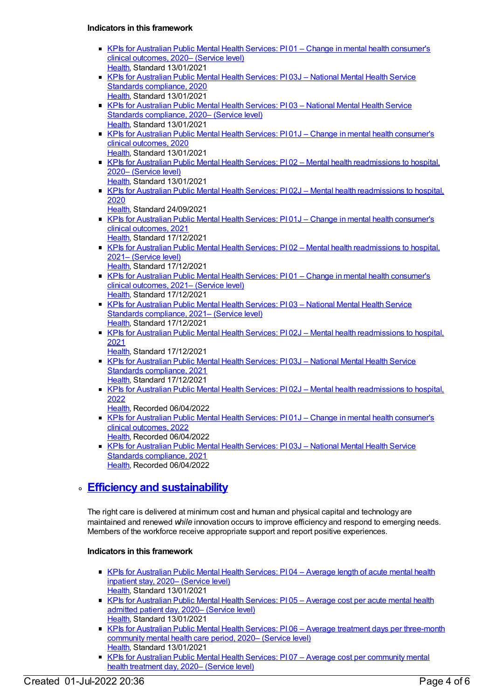#### **Indicators in this framework**

- KPIs for Australian Public Mental Health Services: PI 01 Change in mental health [consumer's](https://meteor.aihw.gov.au/content/725513) clinical outcomes, 2020– (Service level) [Health](https://meteor.aihw.gov.au/RegistrationAuthority/12), Standard 13/01/2021
- KPIs for Australian Public Mental Health Services: PI 03J National Mental Health Service Standards [compliance,](https://meteor.aihw.gov.au/content/723384) 2020 [Health](https://meteor.aihw.gov.au/RegistrationAuthority/12), Standard 13/01/2021
- KPIs for Australian Public Mental Health Services: PI 03 National Mental Health Service Standards [compliance,](https://meteor.aihw.gov.au/content/725527) 2020– (Service level) [Health](https://meteor.aihw.gov.au/RegistrationAuthority/12), Standard 13/01/2021
- KPIs for Australian Public Mental Health Services: PI01J Change in mental health [consumer's](https://meteor.aihw.gov.au/content/723377) clinical outcomes, 2020 [Health](https://meteor.aihw.gov.au/RegistrationAuthority/12), Standard 13/01/2021
- KPIs for Australian Public Mental Health Services: PI 02 Mental health [readmissions](https://meteor.aihw.gov.au/content/725525) to hospital, 2020– (Service level)
	- [Health](https://meteor.aihw.gov.au/RegistrationAuthority/12), Standard 13/01/2021
- KPIs for Australian Public Mental Health Services: PI 02J Mental health [readmissions](https://meteor.aihw.gov.au/content/723381) to hospital, 2020
	- [Health](https://meteor.aihw.gov.au/RegistrationAuthority/12), Standard 24/09/2021
- KPIs for Australian Public Mental Health Services: PI01J Change in mental health [consumer's](https://meteor.aihw.gov.au/content/739867) clinical outcomes, 2021 [Health](https://meteor.aihw.gov.au/RegistrationAuthority/12), Standard 17/12/2021
- KPIs for Australian Public Mental Health Services: PI 02 Mental health [readmissions](https://meteor.aihw.gov.au/content/742460) to hospital, 2021– (Service level) [Health](https://meteor.aihw.gov.au/RegistrationAuthority/12), Standard 17/12/2021
- KPIs for Australian Public Mental Health Services: PI 01 Change in mental health [consumer's](https://meteor.aihw.gov.au/content/742458) clinical outcomes, 2021– (Service level) [Health](https://meteor.aihw.gov.au/RegistrationAuthority/12), Standard 17/12/2021
- KPIs for Australian Public Mental Health Services: PI 03 National Mental Health Service Standards [compliance,](https://meteor.aihw.gov.au/content/742463) 2021– (Service level) [Health](https://meteor.aihw.gov.au/RegistrationAuthority/12), Standard 17/12/2021
- KPIs for Australian Public Mental Health Services: PI 02J Mental health [readmissions](https://meteor.aihw.gov.au/content/739871) to hospital, 2021
- [Health](https://meteor.aihw.gov.au/RegistrationAuthority/12), Standard 17/12/2021
- KPIs for Australian Public Mental Health Services: PI 03J National Mental Health Service Standards [compliance,](https://meteor.aihw.gov.au/content/739876) 2021 [Health](https://meteor.aihw.gov.au/RegistrationAuthority/12), Standard 17/12/2021
- KPIs for Australian Public Mental Health Services: PI 02J Mental health [readmissions](https://meteor.aihw.gov.au/content/753238) to hospital, 2022
- [Health](https://meteor.aihw.gov.au/RegistrationAuthority/12), Recorded 06/04/2022
- KPIs for Australian Public Mental Health Services: PI01J Change in mental health [consumer's](https://meteor.aihw.gov.au/content/753236) clinical outcomes, 2022 [Health](https://meteor.aihw.gov.au/RegistrationAuthority/12), Recorded 06/04/2022
- KPIs for Australian Public Mental Health Services: PI 03J National Mental Health Service Standards [compliance,](https://meteor.aihw.gov.au/content/753242) 2021 [Health](https://meteor.aihw.gov.au/RegistrationAuthority/12), Recorded 06/04/2022

## **Efficiency and [sustainability](https://meteor.aihw.gov.au/content/721208)**

The right care is delivered at minimum cost and human and physical capital and technology are maintained and renewed *while* innovation occurs to improve efficiency and respond to emerging needs. Members of the workforce receive appropriate support and report positive experiences.

### **Indicators in this framework**

- KPIs for [Australian](https://meteor.aihw.gov.au/content/725507) Public Mental Health Services: PI 04 Average length of acute mental health inpatient stay, 2020– (Service level) [Health](https://meteor.aihw.gov.au/RegistrationAuthority/12), Standard 13/01/2021
- KPIs for [Australian](https://meteor.aihw.gov.au/content/725503) Public Mental Health Services: PI 05 Average cost per acute mental health admitted patient day, 2020– (Service level) [Health](https://meteor.aihw.gov.au/RegistrationAuthority/12), Standard 13/01/2021
- KPIs for Australian Public Mental Health Services: PI06 Average treatment days per [three-month](https://meteor.aihw.gov.au/content/725509) community mental health care period, 2020– (Service level) [Health](https://meteor.aihw.gov.au/RegistrationAuthority/12), Standard 13/01/2021
- KPIs for Australian Public Mental Health Services: PI 07 Average cost per [community](https://meteor.aihw.gov.au/content/725505) mental health treatment day, 2020– (Service level)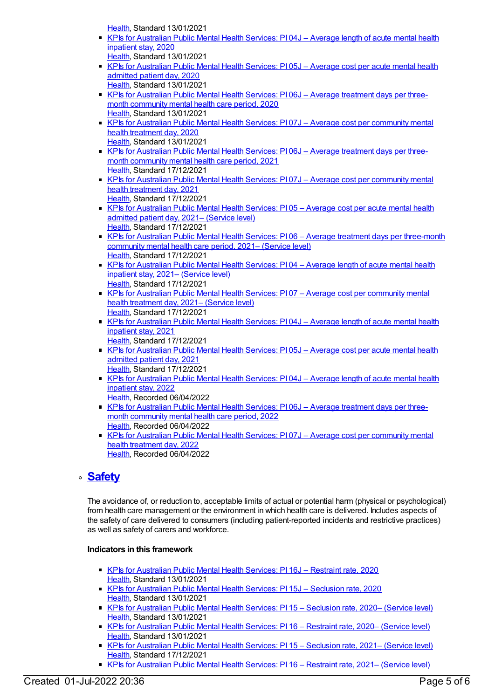[Health](https://meteor.aihw.gov.au/RegistrationAuthority/12), Standard 13/01/2021

- KPIs for [Australian](https://meteor.aihw.gov.au/content/723369) Public Mental Health Services: PI 04J Average length of acute mental health inpatient stay, 2020 [Health](https://meteor.aihw.gov.au/RegistrationAuthority/12), Standard 13/01/2021
- KPIs for [Australian](https://meteor.aihw.gov.au/content/720499) Public Mental Health Services: PI 05J Average cost per acute mental health admitted patient day, 2020
- [Health](https://meteor.aihw.gov.au/RegistrationAuthority/12), Standard 13/01/2021 KPIs for [Australian](https://meteor.aihw.gov.au/content/723371) Public Mental Health Services: PI 06J - Average treatment days per threemonth community mental health care period, 2020 [Health](https://meteor.aihw.gov.au/RegistrationAuthority/12), Standard 13/01/2021
- KPIs for Australian Public Mental Health Services: PI07J Average cost per [community](https://meteor.aihw.gov.au/content/723367) mental health treatment day, 2020 [Health](https://meteor.aihw.gov.au/RegistrationAuthority/12), Standard 13/01/2021
- KPIs for [Australian](https://meteor.aihw.gov.au/content/739882) Public Mental Health Services: PI 06J Average treatment days per threemonth community mental health care period, 2021 [Health](https://meteor.aihw.gov.au/RegistrationAuthority/12), Standard 17/12/2021
- KPIs for Australian Public Mental Health Services: PI 07J Average cost per [community](https://meteor.aihw.gov.au/content/739885) mental health treatment day, 2021 [Health](https://meteor.aihw.gov.au/RegistrationAuthority/12), Standard 17/12/2021
- KPIs for [Australian](https://meteor.aihw.gov.au/content/742465) Public Mental Health Services: PI 05 Average cost per acute mental health admitted patient day, 2021– (Service level) [Health](https://meteor.aihw.gov.au/RegistrationAuthority/12), Standard 17/12/2021
- KPIs for Australian Public Mental Health Services: PI06 Average treatment days per [three-month](https://meteor.aihw.gov.au/content/742469) community mental health care period, 2021– (Service level) [Health](https://meteor.aihw.gov.au/RegistrationAuthority/12), Standard 17/12/2021
- KPIs for [Australian](https://meteor.aihw.gov.au/content/742471) Public Mental Health Services: PI04 Average length of acute mental health inpatient stay, 2021– (Service level) [Health](https://meteor.aihw.gov.au/RegistrationAuthority/12), Standard 17/12/2021
- KPIs for Australian Public Mental Health Services: PI07 Average cost per [community](https://meteor.aihw.gov.au/content/742475) mental health treatment day, 2021– (Service level) [Health](https://meteor.aihw.gov.au/RegistrationAuthority/12), Standard 17/12/2021
- KPIs for [Australian](https://meteor.aihw.gov.au/content/739878) Public Mental Health Services: PI 04J Average length of acute mental health inpatient stay, 2021
- [Health](https://meteor.aihw.gov.au/RegistrationAuthority/12), Standard 17/12/2021 ■ KPIs for [Australian](https://meteor.aihw.gov.au/content/739880) Public Mental Health Services: PI 05J – Average cost per acute mental health admitted patient day, 2021
	- [Health](https://meteor.aihw.gov.au/RegistrationAuthority/12), Standard 17/12/2021
	- KPIs for [Australian](https://meteor.aihw.gov.au/content/753246) Public Mental Health Services: PI 04J Average length of acute mental health inpatient stay, 2022
		- [Health](https://meteor.aihw.gov.au/RegistrationAuthority/12), Recorded 06/04/2022
	- KPIs for [Australian](https://meteor.aihw.gov.au/content/753255) Public Mental Health Services: PI06J Average treatment days per threemonth community mental health care period, 2022 [Health](https://meteor.aihw.gov.au/RegistrationAuthority/12), Recorded 06/04/2022
	- KPIs for Australian Public Mental Health Services: PI 07J Average cost per [community](https://meteor.aihw.gov.au/content/753257) mental health treatment day, 2022 [Health](https://meteor.aihw.gov.au/RegistrationAuthority/12), Recorded 06/04/2022

## **[Safety](https://meteor.aihw.gov.au/content/721197)**

The avoidance of, or reduction to, acceptable limits of actual or potential harm (physical or psychological) from health care management or the environment in which health care is delivered. Includes aspects of the safety of care delivered to consumers (including patient-reported incidents and restrictive practices) as well as safety of carers and workforce.

### **Indicators in this framework**

- KPIs for [Australian](https://meteor.aihw.gov.au/content/723390) Public Mental Health Services: PI 16J Restraint rate, 2020 [Health](https://meteor.aihw.gov.au/RegistrationAuthority/12), Standard 13/01/2021
- KPIs for [Australian](https://meteor.aihw.gov.au/content/723392) Public Mental Health Services: PI 15J Seclusion rate, 2020 [Health](https://meteor.aihw.gov.au/RegistrationAuthority/12), Standard 13/01/2021
- KPIs for [Australian](https://meteor.aihw.gov.au/content/725538) Public Mental Health Services: PI 15 Seclusion rate, 2020– (Service level) [Health](https://meteor.aihw.gov.au/RegistrationAuthority/12), Standard 13/01/2021
- KPIs for [Australian](https://meteor.aihw.gov.au/content/725536) Public Mental Health Services: PI 16 Restraint rate, 2020– (Service level) [Health](https://meteor.aihw.gov.au/RegistrationAuthority/12), Standard 13/01/2021
- **KPIs for [Australian](https://meteor.aihw.gov.au/content/742491) Public Mental Health Services: PI 15 Seclusion rate, 2021– (Service level)** [Health](https://meteor.aihw.gov.au/RegistrationAuthority/12), Standard 17/12/2021
- KPIs for [Australian](https://meteor.aihw.gov.au/content/742493) Public Mental Health Services: PI 16 Restraint rate, 2021– (Service level)